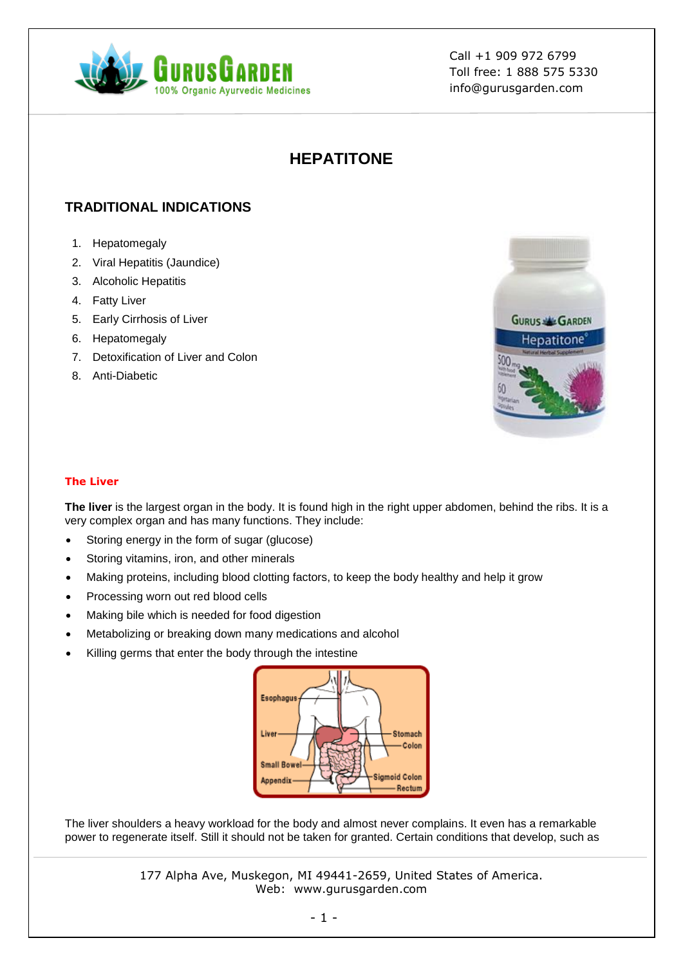

# **HEPATITONE**

# **TRADITIONAL INDICATIONS**

- 1. Hepatomegaly
- 2. Viral Hepatitis (Jaundice)
- 3. Alcoholic Hepatitis
- 4. Fatty Liver
- 5. Early Cirrhosis of Liver
- 6. Hepatomegaly
- 7. Detoxification of Liver and Colon
- 8. Anti-Diabetic



### **The Liver**

**The liver** is the largest organ in the body. It is found high in the right upper abdomen, behind the ribs. It is a very complex organ and has many functions. They include:

- Storing energy in the form of sugar (glucose)
- Storing vitamins, iron, and other minerals
- Making proteins, including blood clotting factors, to keep the body healthy and help it grow
- Processing worn out red blood cells
- Making bile which is needed for food digestion
- Metabolizing or breaking down many medications and alcohol
- Killing germs that enter the body through the intestine



The liver shoulders a heavy workload for the body and almost never complains. It even has a remarkable power to regenerate itself. Still it should not be taken for granted. Certain conditions that develop, such as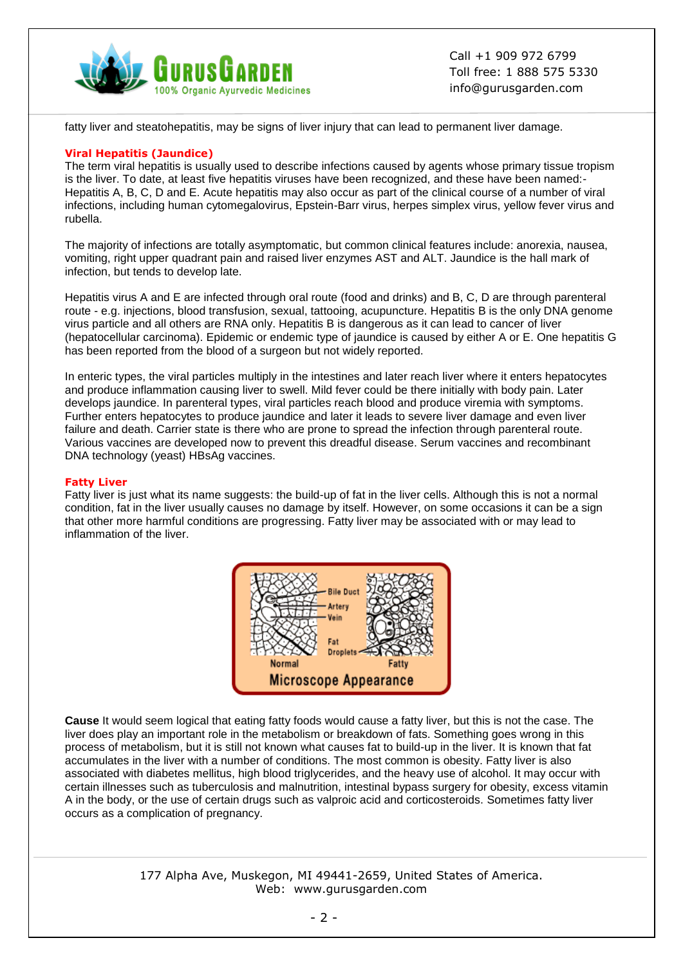

fatty liver and steatohepatitis, may be signs of liver injury that can lead to permanent liver damage.

### **Viral Hepatitis (Jaundice)**

The term viral hepatitis is usually used to describe infections caused by agents whose primary tissue tropism is the liver. To date, at least five hepatitis viruses have been recognized, and these have been named:- Hepatitis A, B, C, D and E. Acute hepatitis may also occur as part of the clinical course of a number of viral infections, including human cytomegalovirus, Epstein-Barr virus, herpes simplex virus, yellow fever virus and rubella.

The majority of infections are totally asymptomatic, but common clinical features include: anorexia, nausea, vomiting, right upper quadrant pain and raised liver enzymes AST and ALT. Jaundice is the hall mark of infection, but tends to develop late.

Hepatitis virus A and E are infected through oral route (food and drinks) and B, C, D are through parenteral route - e.g. injections, blood transfusion, sexual, tattooing, acupuncture. Hepatitis B is the only DNA genome virus particle and all others are RNA only. Hepatitis B is dangerous as it can lead to cancer of liver (hepatocellular carcinoma). Epidemic or endemic type of jaundice is caused by either A or E. One hepatitis G has been reported from the blood of a surgeon but not widely reported.

In enteric types, the viral particles multiply in the intestines and later reach liver where it enters hepatocytes and produce inflammation causing liver to swell. Mild fever could be there initially with body pain. Later develops jaundice. In parenteral types, viral particles reach blood and produce viremia with symptoms. Further enters hepatocytes to produce jaundice and later it leads to severe liver damage and even liver failure and death. Carrier state is there who are prone to spread the infection through parenteral route. Various vaccines are developed now to prevent this dreadful disease. Serum vaccines and recombinant DNA technology (yeast) HBsAg vaccines.

#### **Fatty Liver**

Fatty liver is just what its name suggests: the build-up of fat in the liver cells. Although this is not a normal condition, fat in the liver usually causes no damage by itself. However, on some occasions it can be a sign that other more harmful conditions are progressing. Fatty liver may be associated with or may lead to inflammation of the liver.



**Cause** It would seem logical that eating fatty foods would cause a fatty liver, but this is not the case. The liver does play an important role in the metabolism or breakdown of fats. Something goes wrong in this process of metabolism, but it is still not known what causes fat to build-up in the liver. It is known that fat accumulates in the liver with a number of conditions. The most common is obesity. Fatty liver is also associated with diabetes mellitus, high blood triglycerides, and the heavy use of alcohol. It may occur with certain illnesses such as tuberculosis and malnutrition, intestinal bypass surgery for obesity, excess vitamin A in the body, or the use of certain drugs such as valproic acid and corticosteroids. Sometimes fatty liver occurs as a complication of pregnancy.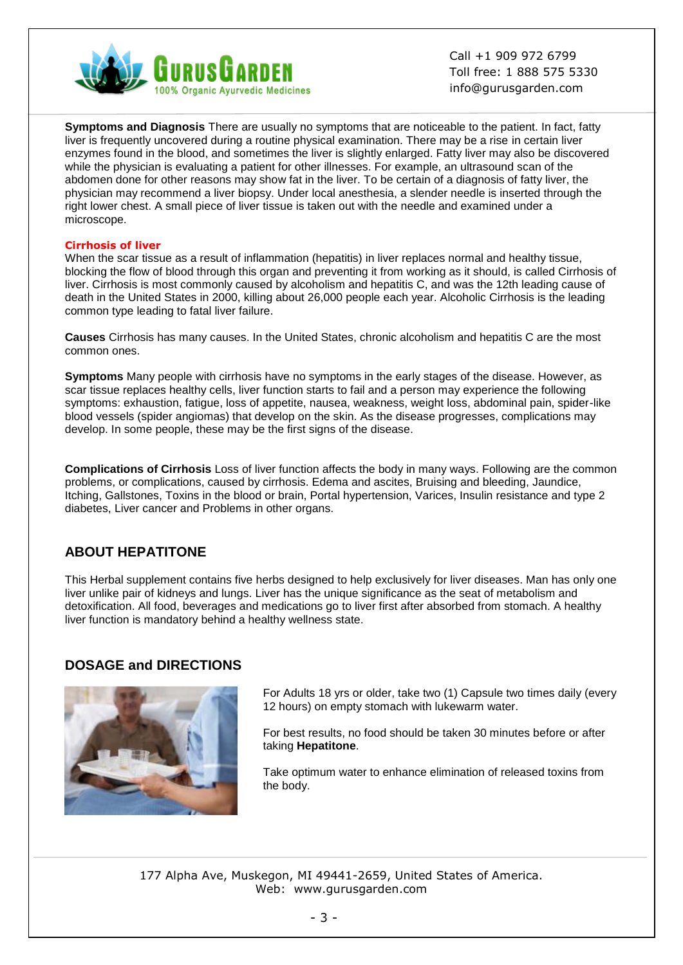

**Symptoms and Diagnosis** There are usually no symptoms that are noticeable to the patient. In fact, fatty liver is frequently uncovered during a routine physical examination. There may be a rise in certain liver enzymes found in the blood, and sometimes the liver is slightly enlarged. Fatty liver may also be discovered while the physician is evaluating a patient for other illnesses. For example, an ultrasound scan of the abdomen done for other reasons may show fat in the liver. To be certain of a diagnosis of fatty liver, the physician may recommend a liver biopsy. Under local anesthesia, a slender needle is inserted through the right lower chest. A small piece of liver tissue is taken out with the needle and examined under a microscope.

#### **Cirrhosis of liver**

When the scar tissue as a result of inflammation (hepatitis) in liver replaces normal and healthy tissue, blocking the flow of blood through this organ and preventing it from working as it should, is called Cirrhosis of liver. Cirrhosis is most commonly caused by alcoholism and hepatitis C, and was the 12th leading cause of death in the United States in 2000, killing about 26,000 people each year. Alcoholic Cirrhosis is the leading common type leading to fatal liver failure.

**Causes** Cirrhosis has many causes. In the United States, chronic alcoholism and hepatitis C are the most common ones.

**Symptoms** Many people with cirrhosis have no symptoms in the early stages of the disease. However, as scar tissue replaces healthy cells, liver function starts to fail and a person may experience the following symptoms: exhaustion, fatigue, loss of appetite, nausea, weakness, weight loss, abdominal pain, spider-like blood vessels (spider angiomas) that develop on the skin. As the disease progresses, complications may develop. In some people, these may be the first signs of the disease.

**Complications of Cirrhosis** Loss of liver function affects the body in many ways. Following are the common problems, or complications, caused by cirrhosis. Edema and ascites, Bruising and bleeding, Jaundice, Itching, Gallstones, Toxins in the blood or brain, Portal hypertension, Varices, Insulin resistance and type 2 diabetes, Liver cancer and Problems in other organs.

### **ABOUT HEPATITONE**

This Herbal supplement contains five herbs designed to help exclusively for liver diseases. Man has only one liver unlike pair of kidneys and lungs. Liver has the unique significance as the seat of metabolism and detoxification. All food, beverages and medications go to liver first after absorbed from stomach. A healthy liver function is mandatory behind a healthy wellness state.

### **DOSAGE and DIRECTIONS**



For Adults 18 yrs or older, take two (1) Capsule two times daily (every 12 hours) on empty stomach with lukewarm water.

For best results, no food should be taken 30 minutes before or after taking **Hepatitone**.

Take optimum water to enhance elimination of released toxins from the body.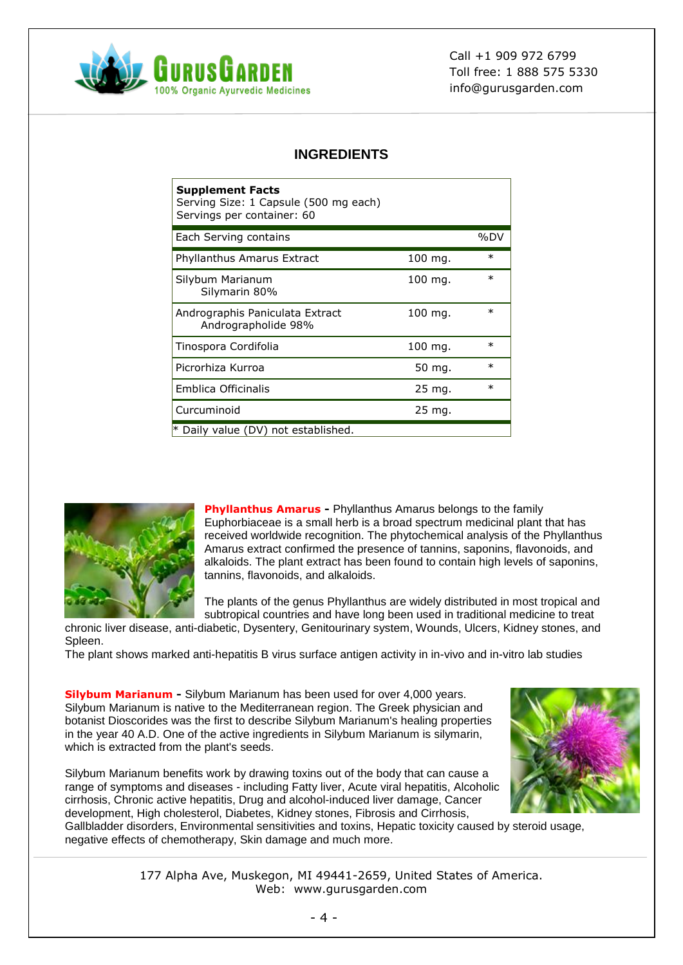

## **INGREDIENTS**

| <b>Supplement Facts</b><br>Serving Size: 1 Capsule (500 mg each)<br>Servings per container: 60 |                   |        |
|------------------------------------------------------------------------------------------------|-------------------|--------|
| Each Serving contains                                                                          |                   | %DV    |
| Phyllanthus Amarus Extract                                                                     | 100 mg.           | $\ast$ |
| Silybum Marianum<br>Silymarin 80%                                                              | 100 mg.           | $\ast$ |
| Andrographis Paniculata Extract<br>Andrographolide 98%                                         | 100 mg.           | $\ast$ |
| Tinospora Cordifolia                                                                           | 100 mg.           | $\ast$ |
| Picrorhiza Kurroa                                                                              | 50 mg.            | $\ast$ |
| Emblica Officinalis                                                                            | 25 mg.            | $\ast$ |
| Curcuminoid                                                                                    | $25 \text{ mg}$ . |        |
| * Daily value (DV) not established.                                                            |                   |        |



**Phyllanthus Amarus -** Phyllanthus Amarus belongs to the family Euphorbiaceae is a small herb is a broad spectrum medicinal plant that has received worldwide recognition. The phytochemical analysis of the Phyllanthus Amarus extract confirmed the presence of tannins, saponins, flavonoids, and alkaloids. The plant extract has been found to contain high levels of saponins, tannins, flavonoids, and alkaloids.

The plants of the genus Phyllanthus are widely distributed in most tropical and subtropical countries and have long been used in traditional medicine to treat

chronic liver disease, anti-diabetic, Dysentery, Genitourinary system, Wounds, Ulcers, Kidney stones, and Spleen.

The plant shows marked anti-hepatitis B virus surface antigen activity in in-vivo and in-vitro lab studies

**Silybum Marianum -** Silybum Marianum has been used for over 4,000 years. Silybum Marianum is native to the Mediterranean region. The Greek physician and botanist Dioscorides was the first to describe Silybum Marianum's healing properties in the year 40 A.D. One of the active ingredients in Silybum Marianum is silymarin, which is extracted from the plant's seeds.

Silybum Marianum benefits work by drawing toxins out of the body that can cause a range of symptoms and diseases - including Fatty liver, Acute viral hepatitis, Alcoholic cirrhosis, Chronic active hepatitis, Drug and alcohol-induced liver damage, Cancer development, High cholesterol, Diabetes, Kidney stones, Fibrosis and Cirrhosis,



Gallbladder disorders, Environmental sensitivities and toxins, Hepatic toxicity caused by steroid usage, negative effects of chemotherapy, Skin damage and much more.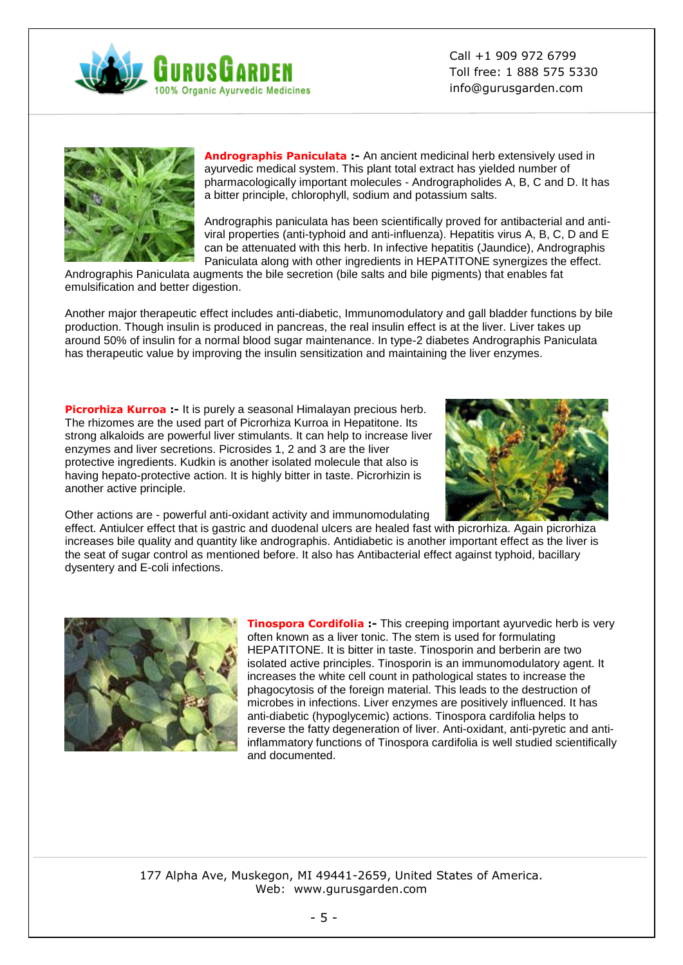



**Andrographis Paniculata :-** An ancient medicinal herb extensively used in ayurvedic medical system. This plant total extract has yielded number of pharmacologically important molecules - Andrographolides A, B, C and D. It has a bitter principle, chlorophyll, sodium and potassium salts.

Andrographis paniculata has been scientifically proved for antibacterial and antiviral properties (anti-typhoid and anti-influenza). Hepatitis virus A, B, C, D and E can be attenuated with this herb. In infective hepatitis (Jaundice), Andrographis Paniculata along with other ingredients in HEPATITONE synergizes the effect.

Andrographis Paniculata augments the bile secretion (bile salts and bile pigments) that enables fat emulsification and better digestion.

Another major therapeutic effect includes anti-diabetic, Immunomodulatory and gall bladder functions by bile production. Though insulin is produced in pancreas, the real insulin effect is at the liver. Liver takes up around 50% of insulin for a normal blood sugar maintenance. In type-2 diabetes Andrographis Paniculata has therapeutic value by improving the insulin sensitization and maintaining the liver enzymes.

**Picrorhiza Kurroa :-** It is purely a seasonal Himalayan precious herb. The rhizomes are the used part of Picrorhiza Kurroa in Hepatitone. Its strong alkaloids are powerful liver stimulants. It can help to increase liver enzymes and liver secretions. Picrosides 1, 2 and 3 are the liver protective ingredients. Kudkin is another isolated molecule that also is having hepato-protective action. It is highly bitter in taste. Picrorhizin is another active principle.



Other actions are - powerful anti-oxidant activity and immunomodulating

effect. Antiulcer effect that is gastric and duodenal ulcers are healed fast with picrorhiza. Again picrorhiza increases bile quality and quantity like andrographis. Antidiabetic is another important effect as the liver is the seat of sugar control as mentioned before. It also has Antibacterial effect against typhoid, bacillary dysentery and E-coli infections.



**Tinospora Cordifolia** :- This creeping important ayurvedic herb is very often known as a liver tonic. The stem is used for formulating HEPATITONE. It is bitter in taste. Tinosporin and berberin are two isolated active principles. Tinosporin is an immunomodulatory agent. It increases the white cell count in pathological states to increase the phagocytosis of the foreign material. This leads to the destruction of microbes in infections. Liver enzymes are positively influenced. It has anti-diabetic (hypoglycemic) actions. Tinospora cardifolia helps to reverse the fatty degeneration of liver. Anti-oxidant, anti-pyretic and antiinflammatory functions of Tinospora cardifolia is well studied scientifically and documented.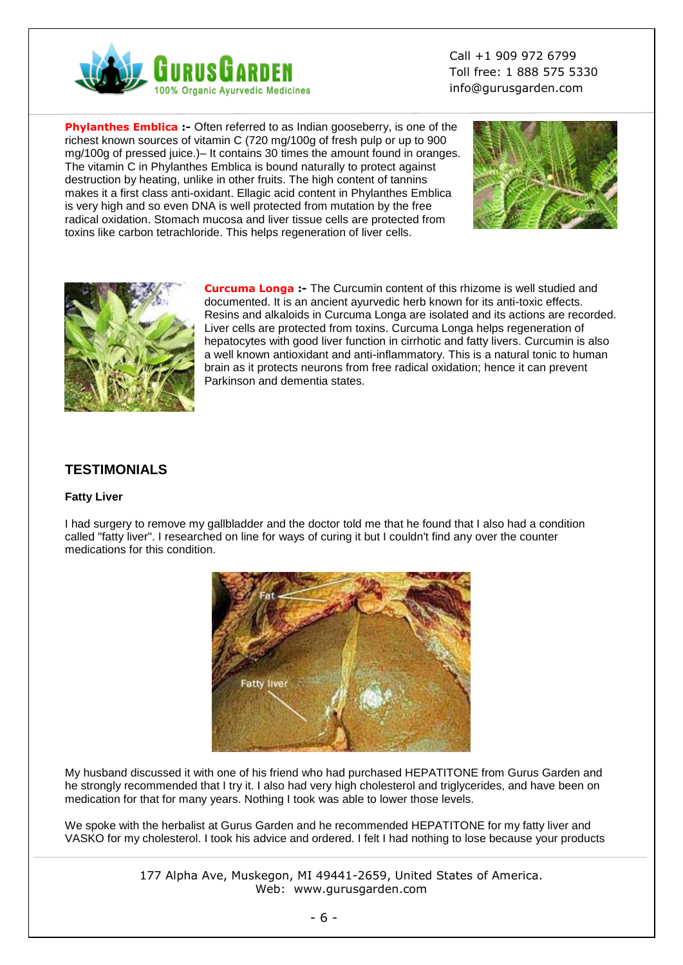

**Phylanthes Emblica :-** Often referred to as Indian gooseberry, is one of the richest known sources of vitamin C (720 mg/100g of fresh pulp or up to 900 mg/100g of pressed juice.)– It contains 30 times the amount found in oranges. The vitamin C in Phylanthes Emblica is bound naturally to protect against destruction by heating, unlike in other fruits. The high content of tannins makes it a first class anti-oxidant. Ellagic acid content in Phylanthes Emblica is very high and so even DNA is well protected from mutation by the free radical oxidation. Stomach mucosa and liver tissue cells are protected from toxins like carbon tetrachloride. This helps regeneration of liver cells.





**Curcuma Longa :-** The Curcumin content of this rhizome is well studied and documented. It is an ancient ayurvedic herb known for its anti-toxic effects. Resins and alkaloids in Curcuma Longa are isolated and its actions are recorded. Liver cells are protected from toxins. Curcuma Longa helps regeneration of hepatocytes with good liver function in cirrhotic and fatty livers. Curcumin is also a well known antioxidant and anti-inflammatory. This is a natural tonic to human brain as it protects neurons from free radical oxidation; hence it can prevent Parkinson and dementia states.

### **TESTIMONIALS**

### **Fatty Liver**

I had surgery to remove my gallbladder and the doctor told me that he found that I also had a condition called "fatty liver". I researched on line for ways of curing it but I couldn't find any over the counter medications for this condition.



My husband discussed it with one of his friend who had purchased HEPATITONE from Gurus Garden and he strongly recommended that I try it. I also had very high cholesterol and triglycerides, and have been on medication for that for many years. Nothing I took was able to lower those levels.

We spoke with the herbalist at Gurus Garden and he recommended HEPATITONE for my fatty liver and VASKO for my cholesterol. I took his advice and ordered. I felt I had nothing to lose because your products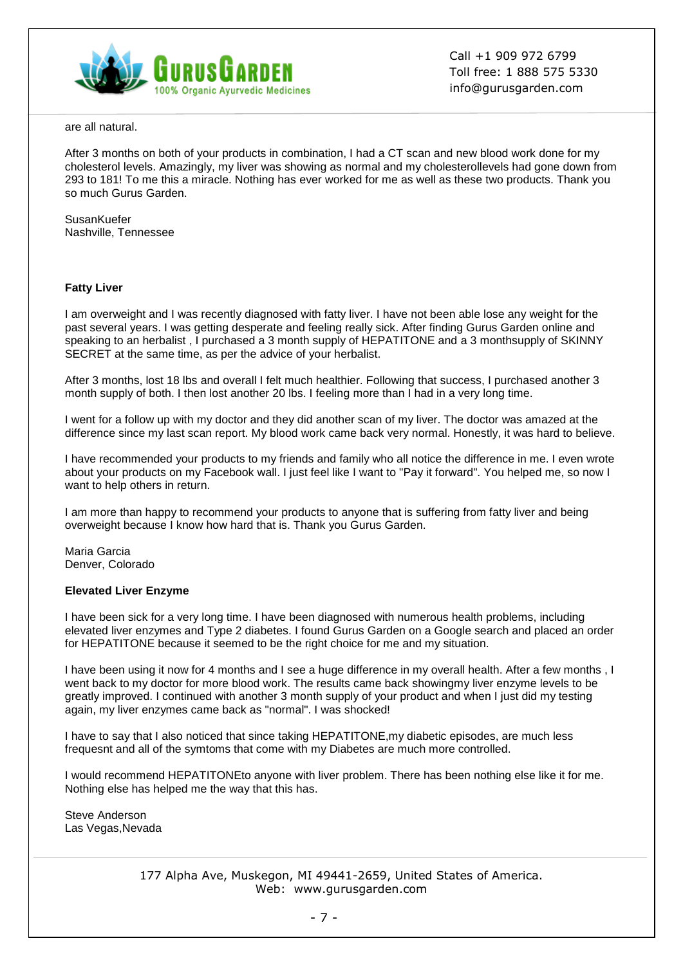

are all natural.

After 3 months on both of your products in combination, I had a CT scan and new blood work done for my cholesterol levels. Amazingly, my liver was showing as normal and my cholesterollevels had gone down from 293 to 181! To me this a miracle. Nothing has ever worked for me as well as these two products. Thank you so much Gurus Garden.

**SusanKuefer** Nashville, Tennessee

### **Fatty Liver**

I am overweight and I was recently diagnosed with fatty liver. I have not been able lose any weight for the past several years. I was getting desperate and feeling really sick. After finding Gurus Garden online and speaking to an herbalist , I purchased a 3 month supply of HEPATITONE and a 3 monthsupply of SKINNY SECRET at the same time, as per the advice of your herbalist.

After 3 months, lost 18 lbs and overall I felt much healthier. Following that success, I purchased another 3 month supply of both. I then lost another 20 lbs. I feeling more than I had in a very long time.

I went for a follow up with my doctor and they did another scan of my liver. The doctor was amazed at the difference since my last scan report. My blood work came back very normal. Honestly, it was hard to believe.

I have recommended your products to my friends and family who all notice the difference in me. I even wrote about your products on my Facebook wall. I just feel like I want to "Pay it forward". You helped me, so now I want to help others in return.

I am more than happy to recommend your products to anyone that is suffering from fatty liver and being overweight because I know how hard that is. Thank you Gurus Garden.

Maria Garcia Denver, Colorado

#### **Elevated Liver Enzyme**

I have been sick for a very long time. I have been diagnosed with numerous health problems, including elevated liver enzymes and Type 2 diabetes. I found Gurus Garden on a Google search and placed an order for HEPATITONE because it seemed to be the right choice for me and my situation.

I have been using it now for 4 months and I see a huge difference in my overall health. After a few months , I went back to my doctor for more blood work. The results came back showingmy liver enzyme levels to be greatly improved. I continued with another 3 month supply of your product and when I just did my testing again, my liver enzymes came back as "normal". I was shocked!

I have to say that I also noticed that since taking HEPATITONE,my diabetic episodes, are much less frequesnt and all of the symtoms that come with my Diabetes are much more controlled.

I would recommend HEPATITONEto anyone with liver problem. There has been nothing else like it for me. Nothing else has helped me the way that this has.

Steve Anderson Las Vegas,Nevada